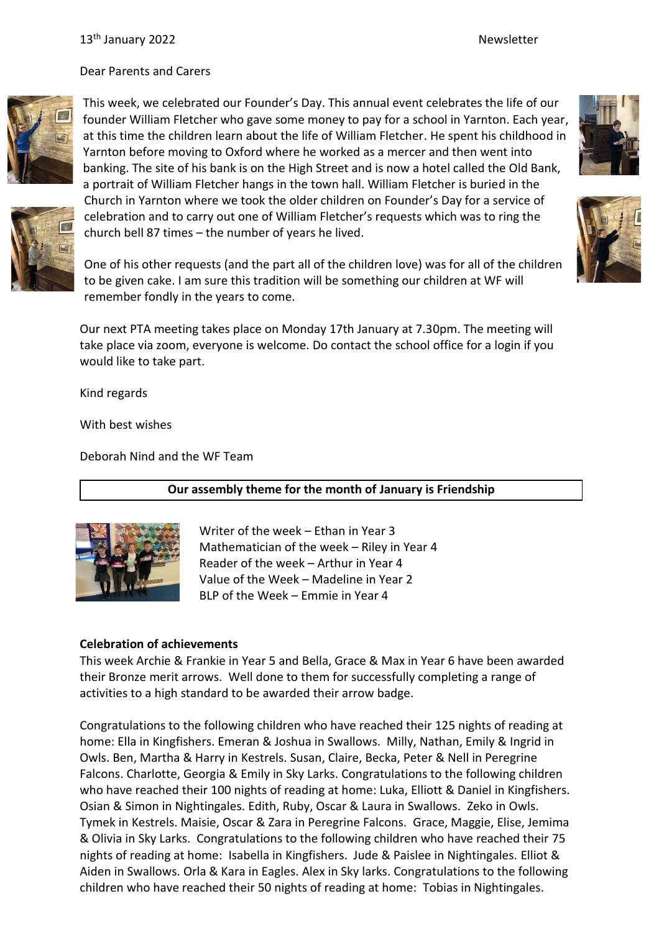Dear Parents and Carers



This week, we celebrated our Founder's Day. This annual event celebrates the life of our founder William Fletcher who gave some money to pay for a school in Yarnton. Each year, at this time the children learn about the life of William Fletcher. He spent his childhood in Yarnton before moving to Oxford where he worked as a mercer and then went into banking. The site of his bank is on the High Street and is now a hotel called the Old Bank, a portrait of William Fletcher hangs in the town hall. William Fletcher is buried in the Church in Yarnton where we took the older children on Founder's Day for a service of celebration and to carry out one of William Fletcher's requests which was to ring the church bell 87 times – the number of years he lived.



One of his other requests (and the part all of the children love) was for all of the children to be given cake. I am sure this tradition will be something our children at WF will remember fondly in the years to come.

Our next PTA meeting takes place on Monday 17th January at 7.30pm. The meeting will take place via zoom, everyone is welcome. Do contact the school office for a login if you would like to take part.

Kind regards

With best wishes

Deborah Nind and the WF Team

## **Our assembly theme for the month of January is Friendship**



Writer of the week – Ethan in Year 3 Mathematician of the week – Riley in Year 4 Reader of the week – Arthur in Year 4 Value of the Week – Madeline in Year 2 BLP of the Week – Emmie in Year 4

## **Celebration of achievements**

This week Archie & Frankie in Year 5 and Bella, Grace & Max in Year 6 have been awarded their Bronze merit arrows. Well done to them for successfully completing a range of activities to a high standard to be awarded their arrow badge.

Congratulations to the following children who have reached their 125 nights of reading at home: Ella in Kingfishers. Emeran & Joshua in Swallows. Milly, Nathan, Emily & Ingrid in Owls. Ben, Martha & Harry in Kestrels. Susan, Claire, Becka, Peter & Nell in Peregrine Falcons. Charlotte, Georgia & Emily in Sky Larks. Congratulations to the following children who have reached their 100 nights of reading at home: Luka, Elliott & Daniel in Kingfishers. Osian & Simon in Nightingales. Edith, Ruby, Oscar & Laura in Swallows. Zeko in Owls. Tymek in Kestrels. Maisie, Oscar & Zara in Peregrine Falcons. Grace, Maggie, Elise, Jemima & Olivia in Sky Larks. Congratulations to the following children who have reached their 75 nights of reading at home: Isabella in Kingfishers. Jude & Paislee in Nightingales. Elliot & Aiden in Swallows. Orla & Kara in Eagles. Alex in Sky larks. Congratulations to the following children who have reached their 50 nights of reading at home: Tobias in Nightingales.



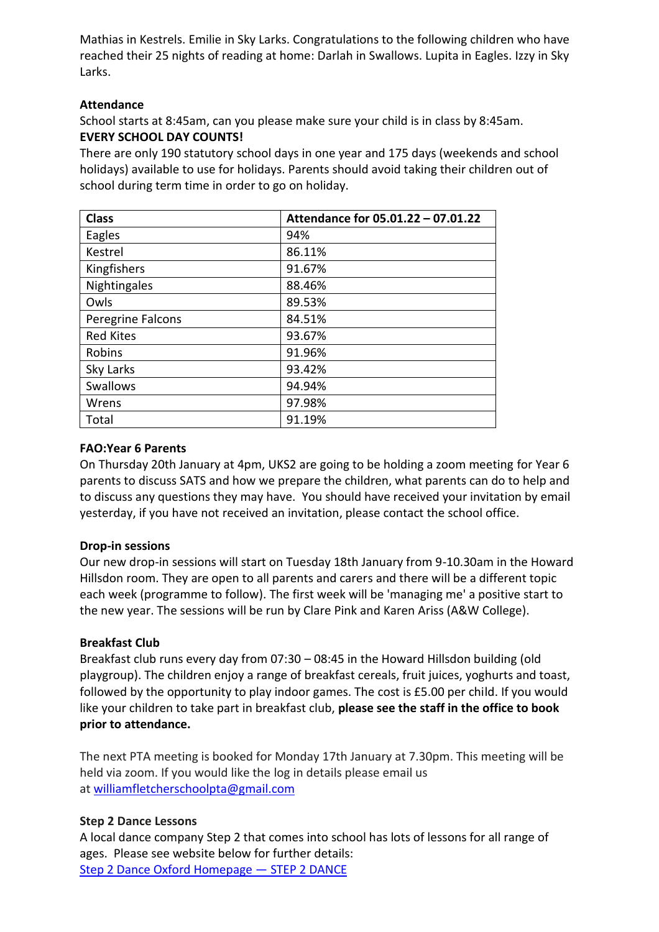Mathias in Kestrels. Emilie in Sky Larks. Congratulations to the following children who have reached their 25 nights of reading at home: Darlah in Swallows. Lupita in Eagles. Izzy in Sky Larks.

## **Attendance**

School starts at 8:45am, can you please make sure your child is in class by 8:45am. **EVERY SCHOOL DAY COUNTS!**

There are only 190 statutory school days in one year and 175 days (weekends and school holidays) available to use for holidays. Parents should avoid taking their children out of school during term time in order to go on holiday.

| <b>Class</b>      | Attendance for 05.01.22 - 07.01.22 |
|-------------------|------------------------------------|
| Eagles            | 94%                                |
| Kestrel           | 86.11%                             |
| Kingfishers       | 91.67%                             |
| Nightingales      | 88.46%                             |
| Owls              | 89.53%                             |
| Peregrine Falcons | 84.51%                             |
| <b>Red Kites</b>  | 93.67%                             |
| Robins            | 91.96%                             |
| Sky Larks         | 93.42%                             |
| <b>Swallows</b>   | 94.94%                             |
| Wrens             | 97.98%                             |
| Total             | 91.19%                             |

## **FAO:Year 6 Parents**

On Thursday 20th January at 4pm, UKS2 are going to be holding a zoom meeting for Year 6 parents to discuss SATS and how we prepare the children, what parents can do to help and to discuss any questions they may have. You should have received your invitation by email yesterday, if you have not received an invitation, please contact the school office.

## **Drop-in sessions**

Our new drop-in sessions will start on Tuesday 18th January from 9-10.30am in the Howard Hillsdon room. They are open to all parents and carers and there will be a different topic each week (programme to follow). The first week will be 'managing me' a positive start to the new year. The sessions will be run by Clare Pink and Karen Ariss (A&W College).

## **Breakfast Club**

Breakfast club runs every day from 07:30 – 08:45 in the Howard Hillsdon building (old playgroup). The children enjoy a range of breakfast cereals, fruit juices, yoghurts and toast, followed by the opportunity to play indoor games. The cost is £5.00 per child. If you would like your children to take part in breakfast club, **please see the staff in the office to book prior to attendance.**

The next PTA meeting is booked for Monday 17th January at 7.30pm. This meeting will be held via zoom. If you would like the log in details please email us at [williamfletcherschoolpta@gmail.com](mailto:williamfletcherschoolpta@gmail.com)

## **Step 2 Dance Lessons**

A local dance company Step 2 that comes into school has lots of lessons for all range of ages. Please see website below for further details: [Step 2 Dance Oxford Homepage](https://www.step2dance.co.uk/home) — STEP 2 DANCE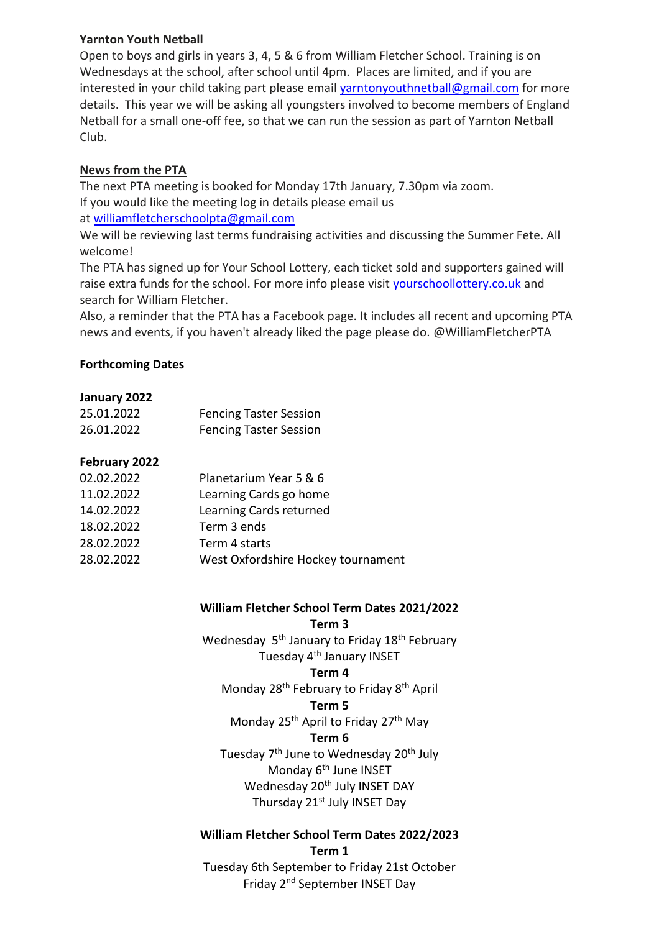## **Yarnton Youth Netball**

Open to boys and girls in years 3, 4, 5 & 6 from William Fletcher School. Training is on Wednesdays at the school, after school until 4pm. Places are limited, and if you are interested in your child taking part please email [yarntonyouthnetball@gmail.com](mailto:yarntonyouthnetball@gmail.com) for more details. This year we will be asking all youngsters involved to become members of England Netball for a small one-off fee, so that we can run the session as part of Yarnton Netball Club.

# **News from the PTA**

The next PTA meeting is booked for Monday 17th January, 7.30pm via zoom. If you would like the meeting log in details please email us at [williamfletcherschoolpta@gmail.com](mailto:williamfletcherschoolpta@gmail.com)

We will be reviewing last terms fundraising activities and discussing the Summer Fete. All welcome!

The PTA has signed up for Your School Lottery, each ticket sold and supporters gained will raise extra funds for the school. For more info please visit [yourschoollottery.co.uk](http://yourschoollottery.co.uk/) and search for William Fletcher.

Also, a reminder that the PTA has a Facebook page. It includes all recent and upcoming PTA news and events, if you haven't already liked the page please do. @WilliamFletcherPTA

## **Forthcoming Dates**

## **January 2022**

| 25.01.2022 | <b>Fencing Taster Session</b> |
|------------|-------------------------------|
| 26.01.2022 | <b>Fencing Taster Session</b> |

## **February 2022**

| 02.02.2022 | Planetarium Year 5 & 6             |
|------------|------------------------------------|
| 11.02.2022 | Learning Cards go home             |
| 14.02.2022 | Learning Cards returned            |
| 18.02.2022 | Term 3 ends                        |
| 28.02.2022 | Term 4 starts                      |
| 28.02.2022 | West Oxfordshire Hockey tournament |
|            |                                    |

# **William Fletcher School Term Dates 2021/2022**

**Term 3**

Wednesday 5<sup>th</sup> January to Friday 18<sup>th</sup> February Tuesday 4<sup>th</sup> January INSET

## **Term 4**

Monday 28<sup>th</sup> February to Friday 8<sup>th</sup> April

## **Term 5**

Monday 25<sup>th</sup> April to Friday 27<sup>th</sup> May

# **Term 6**

Tuesday 7<sup>th</sup> June to Wednesday 20<sup>th</sup> July Monday 6<sup>th</sup> June INSET Wednesday 20<sup>th</sup> July INSET DAY Thursday 21<sup>st</sup> July INSET Day

#### **William Fletcher School Term Dates 2022/2023 Term 1**

Tuesday 6th September to Friday 21st October Friday 2nd September INSET Day